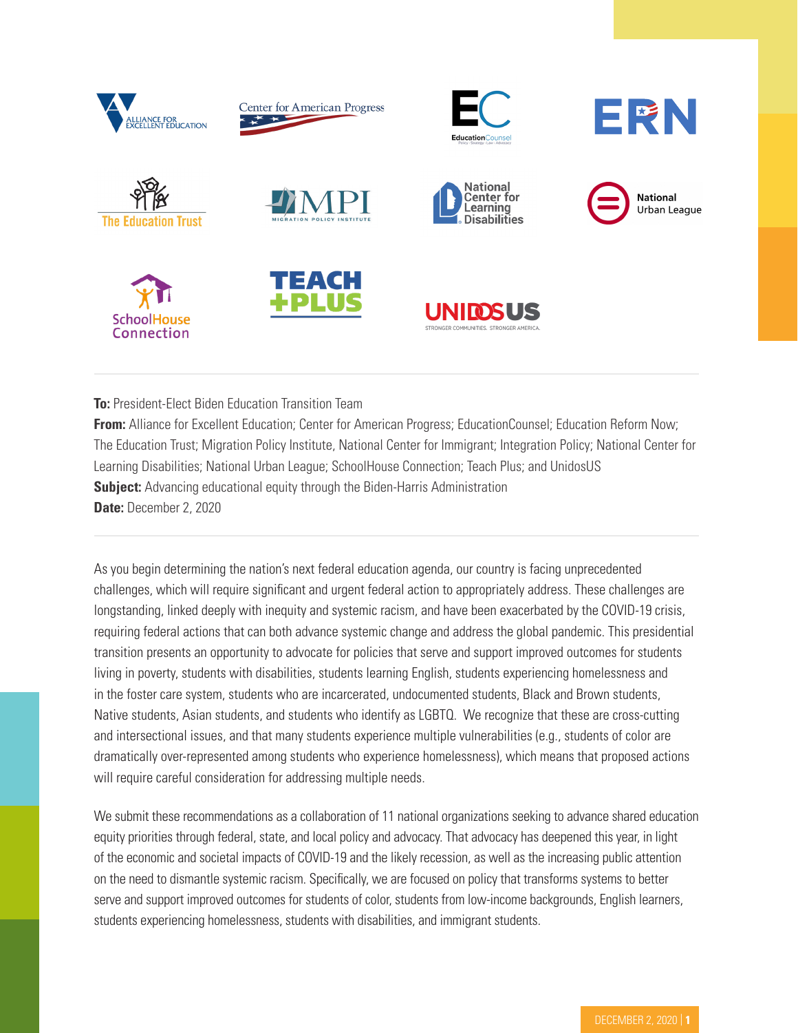

**To:** President-Elect Biden Education Transition Team

**From:** Alliance for Excellent Education; Center for American Progress; EducationCounsel; Education Reform Now; The Education Trust; Migration Policy Institute, National Center for Immigrant; Integration Policy; National Center for Learning Disabilities; National Urban League; SchoolHouse Connection; Teach Plus; and UnidosUS **Subject:** Advancing educational equity through the Biden-Harris Administration **Date:** December 2, 2020

As you begin determining the nation's next federal education agenda, our country is facing unprecedented challenges, which will require significant and urgent federal action to appropriately address. These challenges are longstanding, linked deeply with inequity and systemic racism, and have been exacerbated by the COVID-19 crisis, requiring federal actions that can both advance systemic change and address the global pandemic. This presidential transition presents an opportunity to advocate for policies that serve and support improved outcomes for students living in poverty, students with disabilities, students learning English, students experiencing homelessness and in the foster care system, students who are incarcerated, undocumented students, Black and Brown students, Native students, Asian students, and students who identify as LGBTQ. We recognize that these are cross-cutting and intersectional issues, and that many students experience multiple vulnerabilities (e.g., students of color are dramatically over-represented among students who experience homelessness), which means that proposed actions will require careful consideration for addressing multiple needs.

We submit these recommendations as a collaboration of 11 national organizations seeking to advance shared education equity priorities through federal, state, and local policy and advocacy. That advocacy has deepened this year, in light of the economic and societal impacts of COVID-19 and the likely recession, as well as the increasing public attention on the need to dismantle systemic racism. Specifically, we are focused on policy that transforms systems to better serve and support improved outcomes for students of color, students from low-income backgrounds, English learners, students experiencing homelessness, students with disabilities, and immigrant students.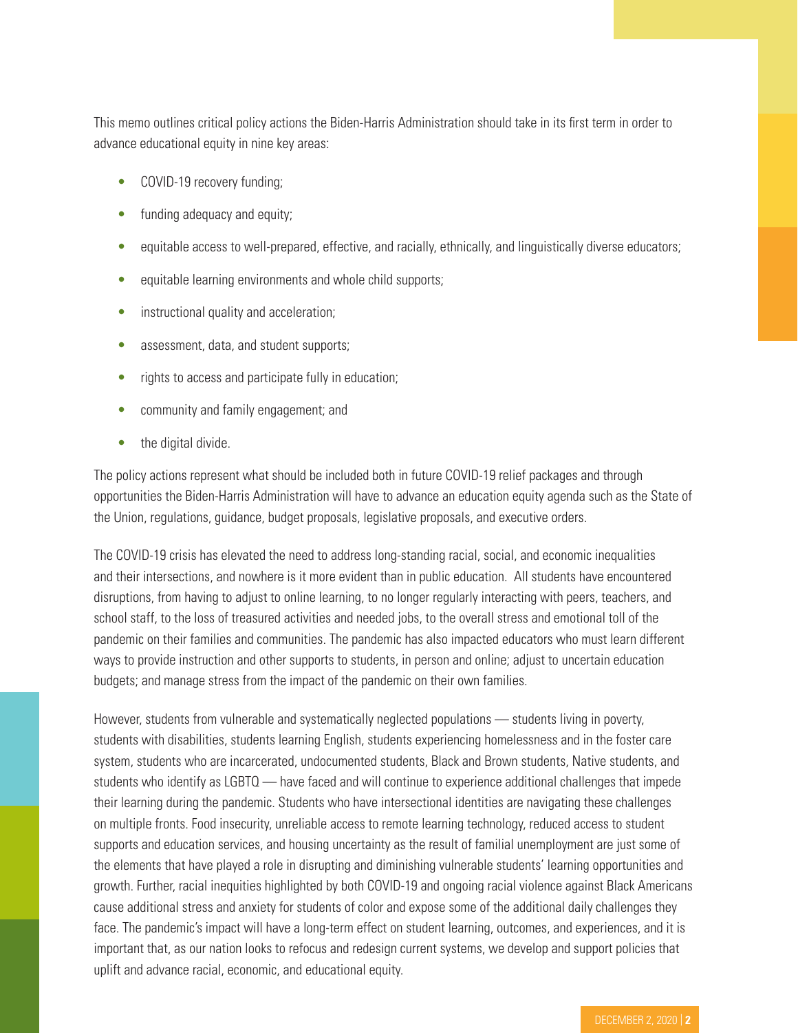This memo outlines critical policy actions the Biden-Harris Administration should take in its first term in order to advance educational equity in nine key areas:

- COVID-19 recovery funding;
- funding adequacy and equity;
- equitable access to well-prepared, effective, and racially, ethnically, and linguistically diverse educators;
- equitable learning environments and whole child supports;
- instructional quality and acceleration;
- assessment, data, and student supports;
- rights to access and participate fully in education;
- community and family engagement; and
- the digital divide.

The policy actions represent what should be included both in future COVID-19 relief packages and through opportunities the Biden-Harris Administration will have to advance an education equity agenda such as the State of the Union, regulations, guidance, budget proposals, legislative proposals, and executive orders.

The COVID-19 crisis has elevated the need to address long-standing racial, social, and economic inequalities and their intersections, and nowhere is it more evident than in public education. All students have encountered disruptions, from having to adjust to online learning, to no longer regularly interacting with peers, teachers, and school staff, to the loss of treasured activities and needed jobs, to the overall stress and emotional toll of the pandemic on their families and communities. The pandemic has also impacted educators who must learn different ways to provide instruction and other supports to students, in person and online; adjust to uncertain education budgets; and manage stress from the impact of the pandemic on their own families.

However, students from vulnerable and systematically neglected populations — students living in poverty, students with disabilities, students learning English, students experiencing homelessness and in the foster care system, students who are incarcerated, undocumented students, Black and Brown students, Native students, and students who identify as LGBTQ — have faced and will continue to experience additional challenges that impede their learning during the pandemic. Students who have intersectional identities are navigating these challenges on multiple fronts. Food insecurity, unreliable access to remote learning technology, reduced access to student supports and education services, and housing uncertainty as the result of familial unemployment are just some of the elements that have played a role in disrupting and diminishing vulnerable students' learning opportunities and growth. Further, racial inequities highlighted by both COVID-19 and ongoing racial violence against Black Americans cause additional stress and anxiety for students of color and expose some of the additional daily challenges they face. The pandemic's impact will have a long-term effect on student learning, outcomes, and experiences, and it is important that, as our nation looks to refocus and redesign current systems, we develop and support policies that uplift and advance racial, economic, and educational equity.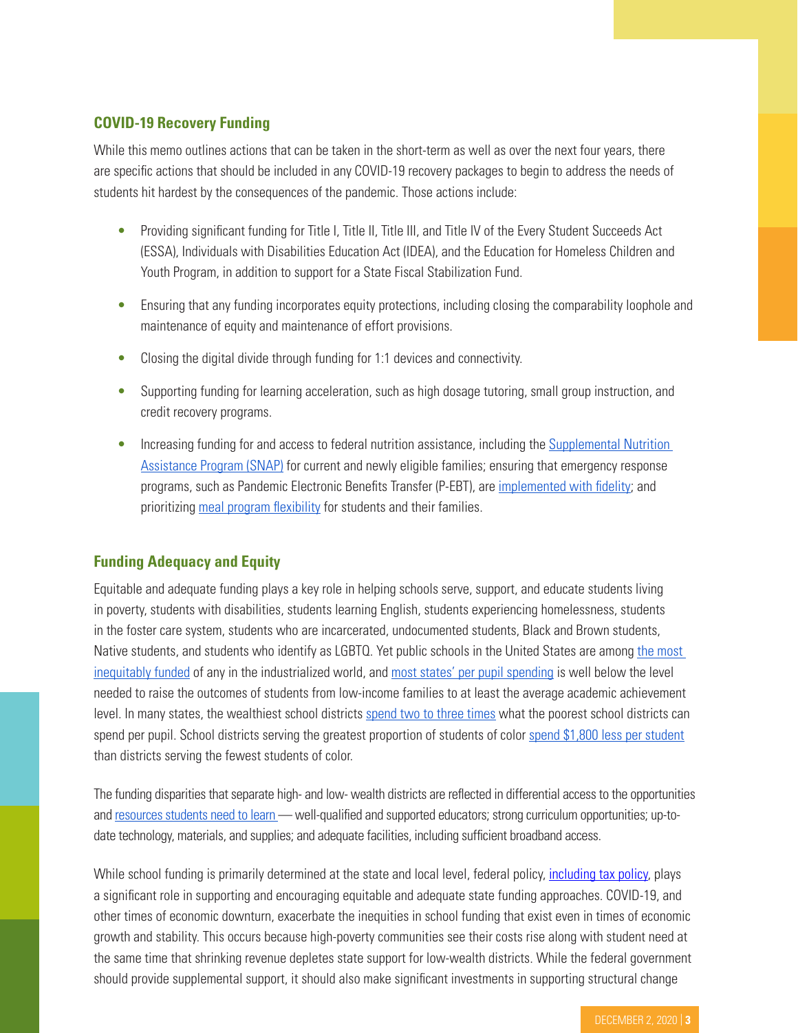# **COVID-19 Recovery Funding**

While this memo outlines actions that can be taken in the short-term as well as over the next four years, there are specific actions that should be included in any COVID-19 recovery packages to begin to address the needs of students hit hardest by the consequences of the pandemic. Those actions include:

- Providing significant funding for Title I, Title II, Title III, and Title IV of the Every Student Succeeds Act (ESSA), Individuals with Disabilities Education Act (IDEA), and the Education for Homeless Children and Youth Program, in addition to support for a State Fiscal Stabilization Fund.
- Ensuring that any funding incorporates equity protections, including closing the comparability loophole and maintenance of equity and maintenance of effort provisions.
- Closing the digital divide through funding for 1:1 devices and connectivity.
- Supporting funding for learning acceleration, such as high dosage tutoring, small group instruction, and credit recovery programs.
- Increasing funding for and access to federal nutrition assistance, including the Supplemental Nutrition [Assistance Program \(SNAP\)](https://www.feedingamericaaction.org/wp-content/uploads/2020/07/FANO-Sign-On_SNAP-Letter.pdf) for current and newly eligible families; ensuring that emergency response programs, such as Pandemic Electronic Benefits Transfer (P-EBT), are [implemented with](https://frac.org/pebt-study) [fidelity](https://frac.org/pebt-study); and prioritizing [meal program flexibility](https://frac.org/news/frac-commends-waiver-extension) for students and their families.

### **Funding Adequacy and Equity**

Equitable and adequate funding plays a key role in helping schools serve, support, and educate students living in poverty, students with disabilities, students learning English, students experiencing homelessness, students in the foster care system, students who are incarcerated, undocumented students, Black and Brown students, Native students, and students who identify as LGBTQ. Yet public schools in the United States are among the most [inequitably funded](https://learningpolicyinstitute.org/product/investing-student-success-school-finance-reforms-report) of any in the industrialized world, and [most states' per pupil spending](https://tcf.org/content/report/closing-americas-education-funding/?agreed=1) is well below the level needed to raise the outcomes of students from low-income families to at least the average academic achievement level. In many [s](https://epaa.asu.edu/ojs/article/view/1053)tates, the wealthiest school districts [spend two to three times](https://epaa.asu.edu/ojs/article/view/1053) what the poorest school districts can spend per pupil. School districts serving the greatest proportion of students of color [spend \\$1,800 less per student](https://edtrust.org/resource/funding-gaps-2018/) than districts serving the fewest students of color.

The funding disparities that separate high- and low- wealth districts are reflected in differential access to the opportunities an[d](https://learningpolicyinstitute.org/product/investing-student-success-school-finance-reforms-report) [resources students need to learn](https://learningpolicyinstitute.org/product/investing-student-success-school-finance-reforms-report) - well-qualified and supported educators; strong curriculum opportunities; up-todate technology, materials, and supplies; and adequate facilities, including sufficient broadband access.

While school funding is primarily determined at the state and local level, federal policy, *[including tax policy](https://www.google.com/url?q=https://econofact.org/how-proposed-changes-in-state-and-local-tax-deductions-matter-for-public-schools&sa=D&ust=1605712155339000&usg=AOvVaw2e49j0IdYkVaNl6aT1EoLu)*, plays a significant role in supporting and encouraging equitable and adequate state funding approaches. COVID-19, and other times of economic downturn, exacerbate the inequities in school funding that exist even in times of economic growth and stability. This occurs because high-poverty communities see their costs rise along with student need at the same time that shrinking revenue depletes state support for low-wealth districts. While the federal government should provide supplemental support, it should also make significant investments in supporting structural change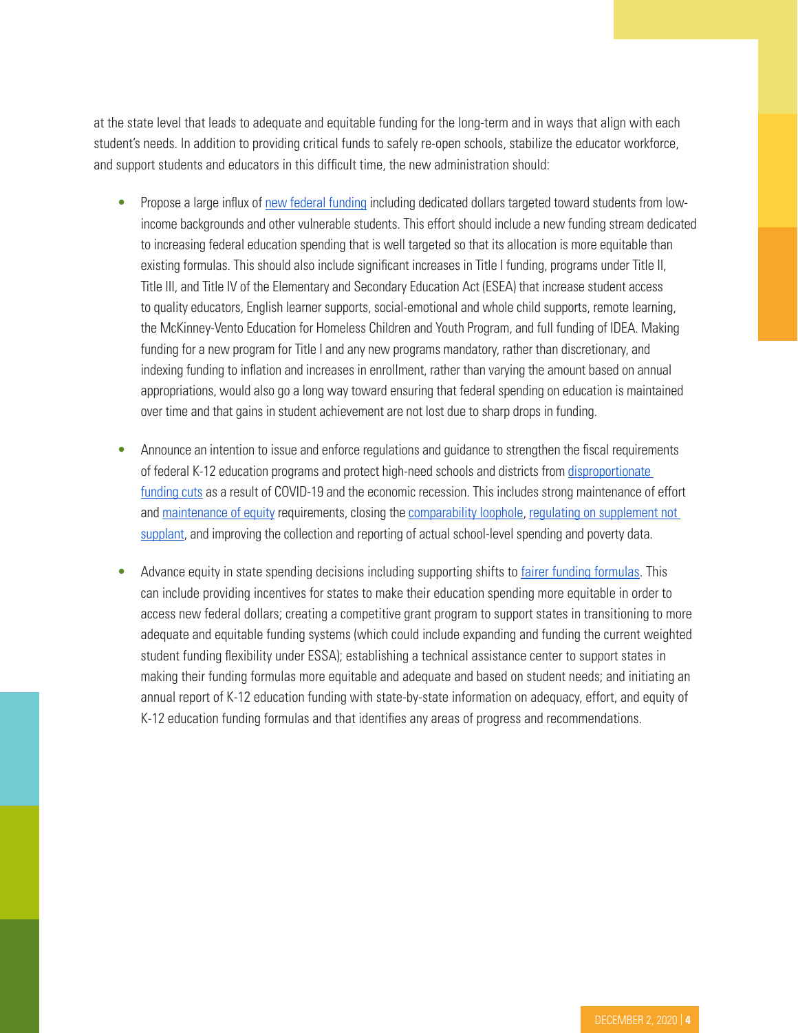at the state level that leads to adequate and equitable funding for the long-term and in ways that align with each student's needs. In addition to providing critical funds to safely re-open schools, stabilize the educator workforce, and support students and educators in this difficult time, the new administration should:

- Propose a large influx of [new federal funding](https://www.americanprogress.org/issues/education-k-12/reports/2020/10/08/491255/public-education-opportunity-grants/) including dedicated dollars targeted toward students from lowincome backgrounds and other vulnerable students. This effort should include a new funding stream dedicated to increasing federal education spending that is well targeted so that its allocation is more equitable than existing formulas. This should also include significant increases in Title I funding, programs under Title II, Title III, and Title IV of the Elementary and Secondary Education Act (ESEA) that increase student access to quality educators, English learner supports, social-emotional and whole child supports, remote learning, the McKinney-Vento Education for Homeless Children and Youth Program, and full funding of IDEA. Making funding for a new program for Title I and any new programs mandatory, rather than discretionary, and indexing funding to inflation and increases in enrollment, rather than varying the amount based on annual appropriations, would also go a long way toward ensuring that federal spending on education is maintained over time and that gains in student achievement are not lost due to sharp drops in funding.
- Announce an intention to issue and enforce regulations and guidance to strengthen the fiscal requirements of federal K-12 education programs and protect high-need schools and districts from [disproportionate](https://thenext100.org/covid-19-cuts-are-hitting-schools-that-serve-low-income-students-the-hardest-congress-can-and-should-change-that/)  [funding cuts](https://thenext100.org/covid-19-cuts-are-hitting-schools-that-serve-low-income-students-the-hardest-congress-can-and-should-change-that/) as a result of COVID-19 and the economic recession. This includes strong maintenance of effort an[d](https://edtrust.org/press-release/joint-letter-from-education-and-civil-right-advocates-to-u-s-house-and-senate-leadership-calling-for-maintenance-of-equity-requirement-in-any-new-covid-19-relief-package/) [maintenance of equity](https://edtrust.org/press-release/joint-letter-from-education-and-civil-right-advocates-to-u-s-house-and-senate-leadership-calling-for-maintenance-of-equity-requirement-in-any-new-covid-19-relief-package/) requirements, closing the [comparability loophole,](https://www.americanprogress.org/issues/education-k-12/reports/2015/03/11/107985/comparable-but-unequal/) [regulating on supplement not](https://www.ed.gov/news/press-releases/fact-sheet-supplement-not-supplant-under-title-i-every-student-succeeds-act)  [supplant](https://www.ed.gov/news/press-releases/fact-sheet-supplement-not-supplant-under-title-i-every-student-succeeds-act), and improving the collection and reporting of actual school-level spending and poverty data.
- Advance equity in state spending decisi[o](https://edbuild.org/content/edbuilder)ns including supporting shifts to *[fairer funding formulas](https://edbuild.org/content/edbuilder)*. This can include providing incentives for states to make their education spending more equitable in order to access new federal dollars; creating a competitive grant program to support states in transitioning to more adequate and equitable funding systems (which could include expanding and funding the current weighted student funding flexibility under ESSA); establishing a technical assistance center to support states in making their funding formulas more equitable and adequate and based on student needs; and initiating an annual report of K-12 education funding with state-by-state information on adequacy, effort, and equity of K-12 education funding formulas and that identifies any areas of progress and recommendations.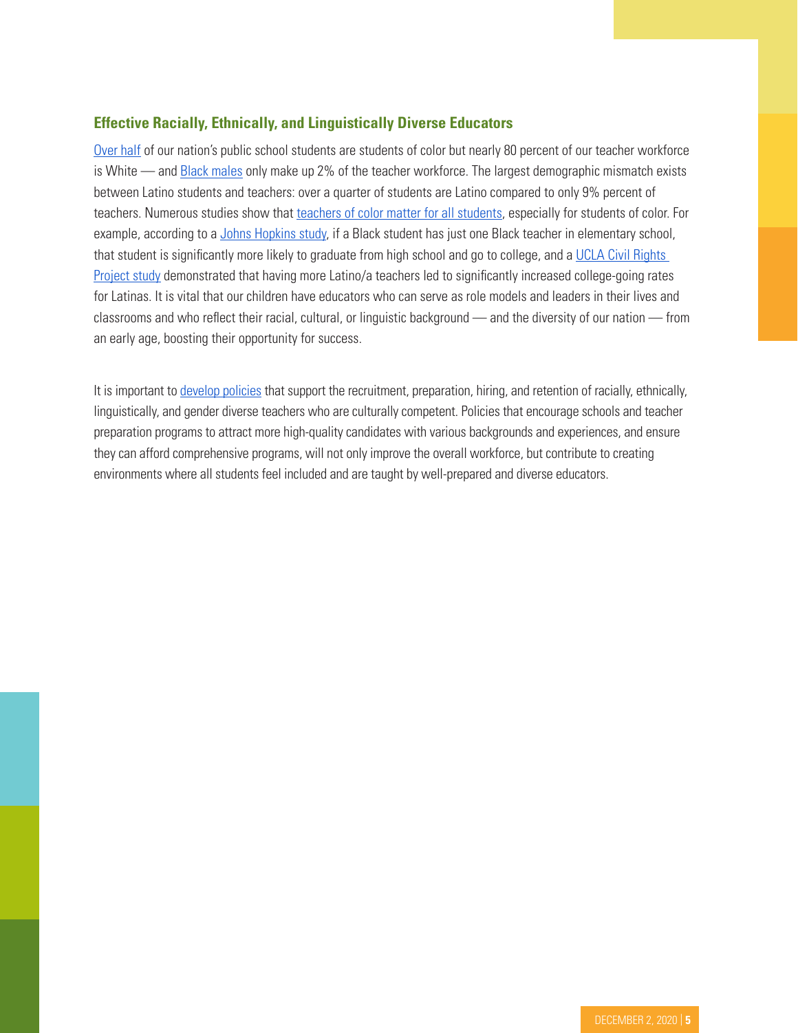## **Effective Racially, Ethnically, and Linguistically Diverse Educators**

[Over half](https://www.pewresearch.org/fact-tank/2018/08/27/americas-public-school-teachers-are-far-less-racially-and-ethnically-diverse-than-their-students/) of our nation's public school students are students of color but nearly 80 percent of our teacher workforce is White — and **[Black males](https://hechingerreport.org/two-percent-of-teachers-are-black-men-a-city-is-trying-to-recruit-more/) only make up 2% of the teacher workforce**. The largest demographic mismatch exists between Latino students and teachers: over a quarter of students are Latino compared to only 9% percent of [t](https://learningpolicyinstitute.org/product/diversifying-teaching-profession-brief)eachers. Numerous studies show that [teachers of color matter for all students](https://learningpolicyinstitute.org/product/diversifying-teaching-profession-brief), especially for students of color. For example, according to a [Johns Hopkins study](https://releases.jhu.edu/2018/11/12/black-students-who-have-one-black-teacher-more-likely-to-go-to-college/), if a Black student has just one Black teacher in elementary school, that student is significantly more likely to graduate from high school and go to college, and a [UCLA Civil Rights](https://www.civilrightsproject.ucla.edu/research/college-access/underrepresented-students/making-education-work-for-latinas-in-the-u.s/DDSS_ResearchFindings_2013.pdf)  [Project study](https://www.civilrightsproject.ucla.edu/research/college-access/underrepresented-students/making-education-work-for-latinas-in-the-u.s/DDSS_ResearchFindings_2013.pdf) demonstrated that having more Latino/a teachers led to significantly increased college-going rates for Latinas. It is vital that our children have educators who can serve as role models and leaders in their lives and classrooms and who reflect their racial, cultural, or linguistic background — and the diversity of our nation — from an early age, boosting their opportunity for success.

It is important to [develop policies](https://edtrust.org/educator-diversity/) that support the recruitment, preparation, hiring, and retention of racially, ethnically, linguistically, and gender diverse teachers who are culturally competent. Policies that encourage schools and teacher preparation programs to attract more high-quality candidates with various backgrounds and experiences, and ensure they can afford comprehensive programs, will not only improve the overall workforce, but contribute to creating environments where all students feel included and are taught by well-prepared and diverse educators.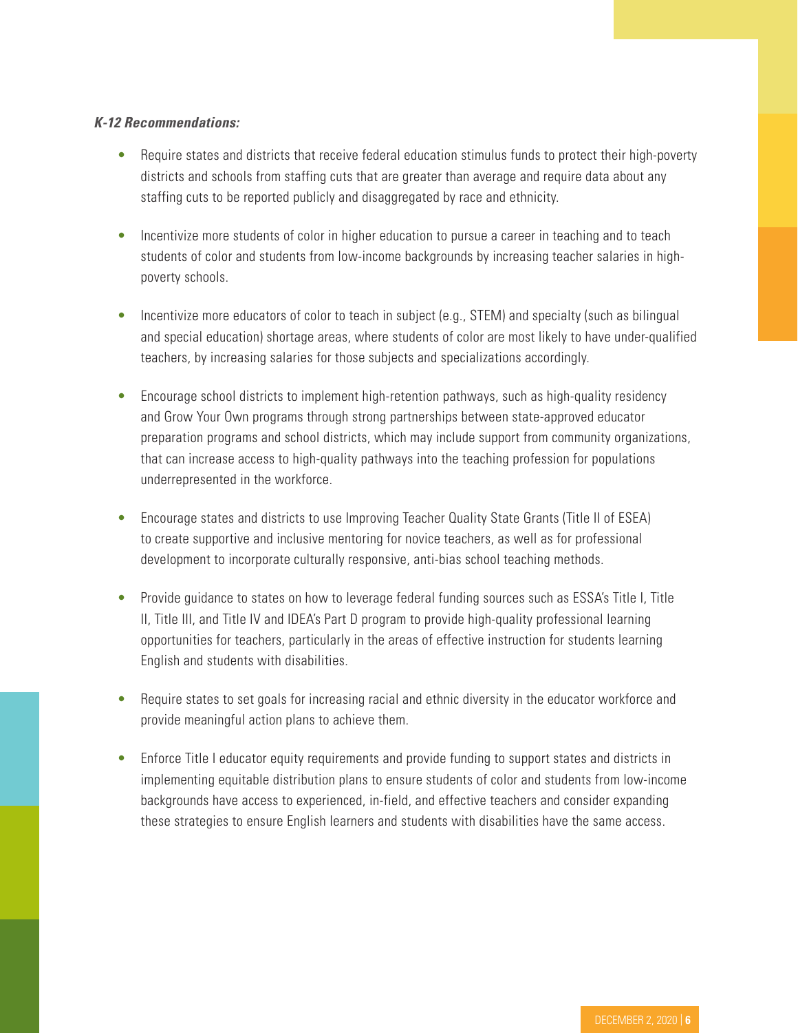#### *K-12 Recommendations:*

- Require states and districts that receive federal education stimulus funds to protect their high-poverty districts and schools from staffing cuts that are greater than average and require data about any staffing cuts to be reported publicly and disaggregated by race and ethnicity.
- Incentivize more students of color in higher education to pursue a career in teaching and to teach students of color and students from low-income backgrounds by increasing teacher salaries in highpoverty schools.
- Incentivize more educators of color to teach in subject (e.g., STEM) and specialty (such as bilingual and special education) shortage areas, where students of color are most likely to have under-qualified teachers, by increasing salaries for those subjects and specializations accordingly.
- Encourage school districts to implement high-retention pathways, such as high-quality residency and Grow Your Own programs through strong partnerships between state-approved educator preparation programs and school districts, which may include support from community organizations, that can increase access to high-quality pathways into the teaching profession for populations underrepresented in the workforce.
- Encourage states and districts to use Improving Teacher Quality State Grants (Title II of ESEA) to create supportive and inclusive mentoring for novice teachers, as well as for professional development to incorporate culturally responsive, anti-bias school teaching methods.
- Provide guidance to states on how to leverage federal funding sources such as ESSA's Title I, Title II, Title III, and Title IV and IDEA's Part D program to provide high-quality professional learning opportunities for teachers, particularly in the areas of effective instruction for students learning English and students with disabilities.
- Require states to set goals for increasing racial and ethnic diversity in the educator workforce and provide meaningful action plans to achieve them.
- Enforce Title I educator equity requirements and provide funding to support states and districts in implementing equitable distribution plans to ensure students of color and students from low-income backgrounds have access to experienced, in-field, and effective teachers and consider expanding these strategies to ensure English learners and students with disabilities have the same access.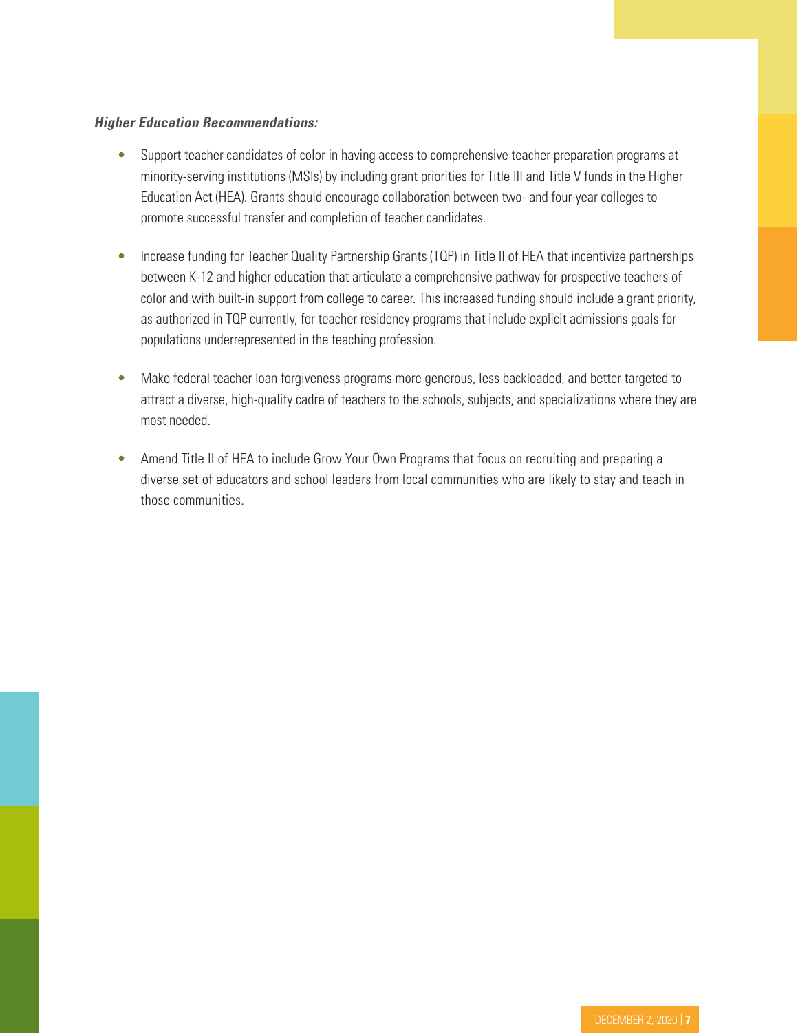#### *Higher Education Recommendations:*

- Support teacher candidates of color in having access to comprehensive teacher preparation programs at minority-serving institutions (MSIs) by including grant priorities for Title III and Title V funds in the Higher Education Act (HEA). Grants should encourage collaboration between two- and four-year colleges to promote successful transfer and completion of teacher candidates.
- Increase funding for Teacher Quality Partnership Grants (TQP) in Title II of HEA that incentivize partnerships between K-12 and higher education that articulate a comprehensive pathway for prospective teachers of color and with built-in support from college to career. This increased funding should include a grant priority, as authorized in TQP currently, for teacher residency programs that include explicit admissions goals for populations underrepresented in the teaching profession.
- Make federal teacher loan forgiveness programs more generous, less backloaded, and better targeted to attract a diverse, high-quality cadre of teachers to the schools, subjects, and specializations where they are most needed.
- Amend Title II of HEA to include Grow Your Own Programs that focus on recruiting and preparing a diverse set of educators and school leaders from local communities who are likely to stay and teach in those communities.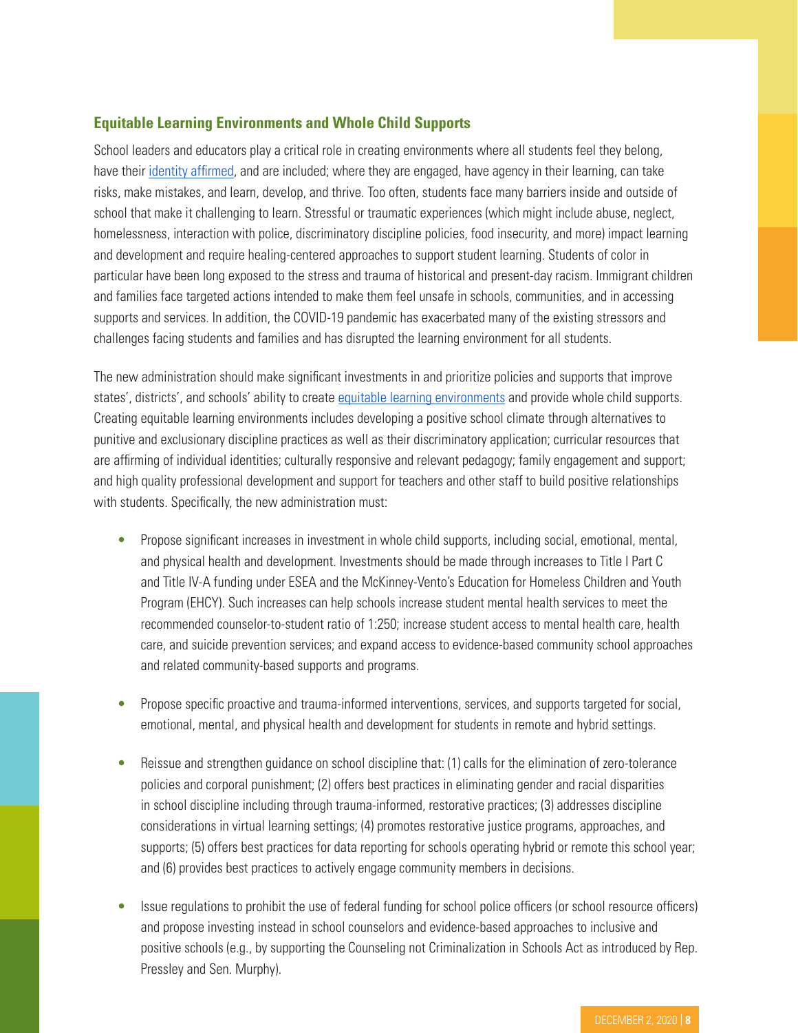## **Equitable Learning Environments and Whole Child Supports**

School leaders and educators play a critical role in creating environments where all students feel they belong, have their [identity affirmed](https://www.edutopia.org/blog/creating-an-identity-safe-classroom-becki-cohn-vargas-dorothy-steele), and are included; where they are engaged, have agency in their learning, can take risks, make mistakes, and learn, develop, and thrive. Too often, students face many barriers inside and outside of school that make it challenging to learn. Stressful or traumatic experiences (which might include abuse, neglect, homelessness, interaction with police, discriminatory discipline policies, food insecurity, and more) impact learning and development and require healing-centered approaches to support student learning. Students of color in particular have been long exposed to the stress and trauma of historical and present-day racism. Immigrant children and families face targeted actions intended to make them feel unsafe in schools, communities, and in accessing supports and services. In addition, the COVID-19 pandemic has exacerbated many of the existing stressors and challenges facing students and families and has disrupted the learning environment for all students.

The new administration should make significant investments in and prioritize policies and supports that improve states', districts', and schools' ability to create [equitable learning environments](https://edtrust.org/wp-content/uploads/2014/09/Social-Emotional-and-Academic-Development-Through-an-Equity-Lens-August-6-2020.pdf) and provide whole child supports. Creating equitable learning environments includes developing a positive school climate through alternatives to punitive and exclusionary discipline practices as well as their discriminatory application; curricular resources that are affirming of individual identities; culturally responsive and relevant pedagogy; family engagement and support; and high quality professional development and support for teachers and other staff to build positive relationships with students. Specifically, the new administration must:

- Propose significant increases in investment in whole child supports, including social, emotional, mental, and physical health and development. Investments should be made through increases to Title I Part C and Title IV-A funding under ESEA and the McKinney-Vento's Education for Homeless Children and Youth Program (EHCY). Such increases can help schools increase student mental health services to meet the recommended counselor-to-student ratio of 1:250; increase student access to mental health care, health care, and suicide prevention services; and expand access to evidence-based community school approaches and related community-based supports and programs.
- Propose specific proactive and trauma-informed interventions, services, and supports targeted for social, emotional, mental, and physical health and development for students in remote and hybrid settings.
- Reissue and strengthen guidance on school discipline that: (1) calls for the elimination of zero-tolerance policies and corporal punishment; (2) offers best practices in eliminating gender and racial disparities in school discipline including through trauma-informed, restorative practices; (3) addresses discipline considerations in virtual learning settings; (4) promotes restorative justice programs, approaches, and supports; (5) offers best practices for data reporting for schools operating hybrid or remote this school year; and (6) provides best practices to actively engage community members in decisions.
- Issue regulations to prohibit the use of federal funding for school police officers (or school resource officers) and propose investing instead in school counselors and evidence-based approaches to inclusive and positive schools (e.g., by supporting the Counseling not Criminalization in Schools Act as introduced by Rep. Pressley and Sen. Murphy).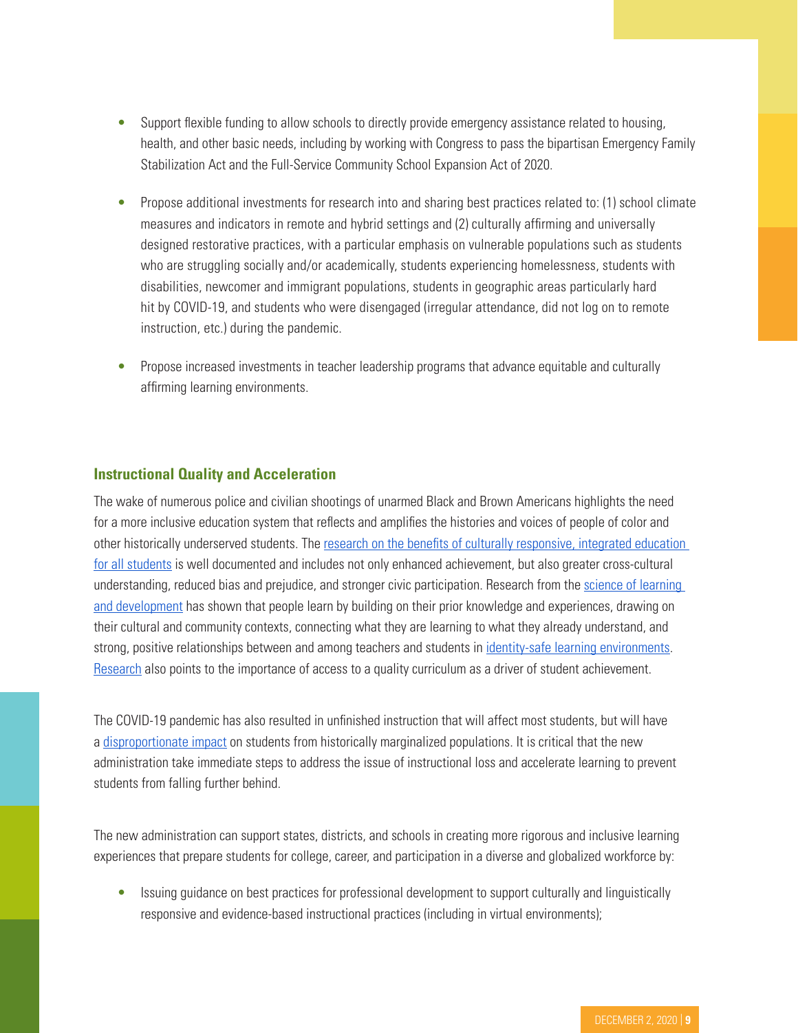- Support flexible funding to allow schools to directly provide emergency assistance related to housing, health, and other basic needs, including by working with Congress to pass the bipartisan Emergency Family Stabilization Act and the Full-Service Community School Expansion Act of 2020.
- Propose additional investments for research into and sharing best practices related to: (1) school climate measures and indicators in remote and hybrid settings and (2) culturally affirming and universally designed restorative practices, with a particular emphasis on vulnerable populations such as students who are struggling socially and/or academically, students experiencing homelessness, students with disabilities, newcomer and immigrant populations, students in geographic areas particularly hard hit by COVID-19, and students who were disengaged (irregular attendance, did not log on to remote instruction, etc.) during the pandemic.
- Propose increased investments in teacher leadership programs that advance equitable and culturally affirming learning environments.

#### **Instructional Quality and Acceleration**

The wake of numerous police and civilian shootings of unarmed Black and Brown Americans highlights the need for a more inclusive education system that reflects and amplifies the histories and voices of people of color and other historically underserved students. The [research on the benefits of culturally responsive, integrated education](https://learningpolicyinstitute.org/sites/default/files/product-files/House_EdLaborComm_Darling_Hammond_04302019_TESTIMONY.pdf)  [for all students](https://learningpolicyinstitute.org/sites/default/files/product-files/House_EdLaborComm_Darling_Hammond_04302019_TESTIMONY.pdf) is well documented and includes not only enhanced achievement, but also greater cross-cultural understanding, reduced bias and prejudice, and stronger civic participation. Research from the science of learning [and development](https://www.soldalliance.org/) has shown that people learn by building on their prior knowledge and experiences, drawing on their cultural and community contexts, connecting what they are learning to what they already understand, and strong, positive relationships between and among teachers and students in [identity-safe learning environments](https://learningpolicyinstitute.org/sites/default/files/product-files/Educating_Whole_Child_REPORT.pdf). [Research](https://learningfirst.com/wp-content/uploads/2019/01/Quality-curriculum-and-system-improvement.pdf) also points to the importance of access to a quality curriculum as a driver of student achievement.

The COVID-19 pandemic has also resulted in unfinished instruction that will affect most students, but will have a [disproportionate impact](https://www.mckinsey.com/industries/public-and-social-sector/our-insights/covid-19-and-student-learning-in-the-united-states-the-hurt-could-last-a-lifetime) on students from historically marginalized populations. It is critical that the new administration take immediate steps to address the issue of instructional loss and accelerate learning to prevent students from falling further behind.

The new administration can support states, districts, and schools in creating more rigorous and inclusive learning experiences that prepare students for college, career, and participation in a diverse and globalized workforce by:

• Issuing guidance on best practices for professional development to support culturally and linguistically responsive and evidence-based instructional practices (including in virtual environments);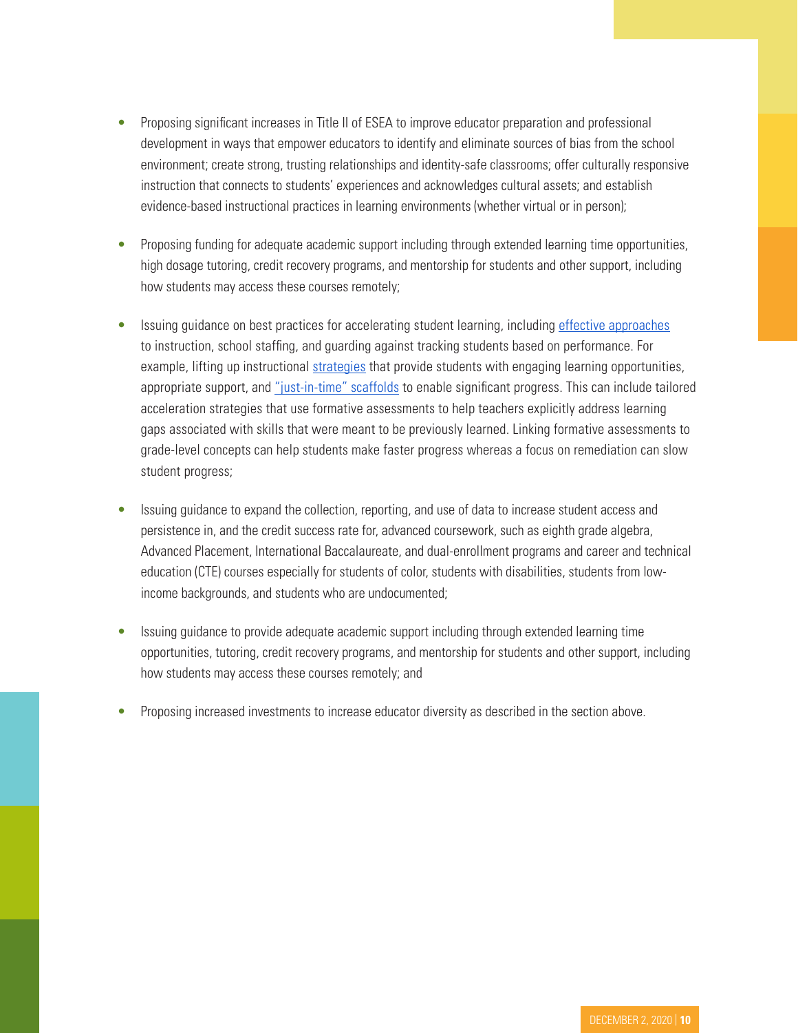- Proposing significant increases in Title II of ESEA to improve educator preparation and professional development in ways that empower educators to identify and eliminate sources of bias from the school environment; create strong, trusting relationships and identity-safe classrooms; offer culturally responsive instruction that connects to students' experiences and acknowledges cultural assets; and establish evidence-based instructional practices in learning environments (whether virtual or in person);
- Proposing funding for adequate academic support including through extended learning time opportunities, high dosage tutoring, credit recovery programs, and mentorship for students and other support, including how students may access these courses remotely;
- Issuin[g](https://www.aclweb.org/anthology/D15-1166) guidance on best practices for accelerating student learning, including [effective approaches](https://www.aclweb.org/anthology/D15-1166) to instruction, school staffing, and guarding against tracking students based on performance. For example, lifting up instructional [strategies](https://www.google.com/url?q=https://annenberg.brown.edu/sites/default/files/EdResearch_for_Recovery_Brief_1.pdf&sa=D&ust=1605712155359000&usg=AOvVaw0mL5qJYFVVRRhKtNWr5rKQ) that provide students with engaging learning opportunities, appropriate support, and ["just-in-time" scaffolds](https://tntp.org/assets/set-resources/TNTP_Learning_Acceleration_Guide.pdf) to enable significant progress. This can include tailored acceleration strategies that use formative assessments to help teachers explicitly address learning gaps associated with skills that were meant to be previously learned. Linking formative assessments to grade-level concepts can help students make faster progress whereas a focus on remediation can slow student progress;
- Issuing guidance to expand the collection, reporting, and use of data to increase student access and persistence in, and the credit success rate for, advanced coursework, such as eighth grade algebra, Advanced Placement, International Baccalaureate, and dual-enrollment programs and career and technical education (CTE) courses especially for students of color, students with disabilities, students from lowincome backgrounds, and students who are undocumented;
- Issuing guidance to provide adequate academic support including through extended learning time opportunities, tutoring, credit recovery programs, and mentorship for students and other support, including how students may access these courses remotely; and
- Proposing increased investments to increase educator diversity as described in the section above.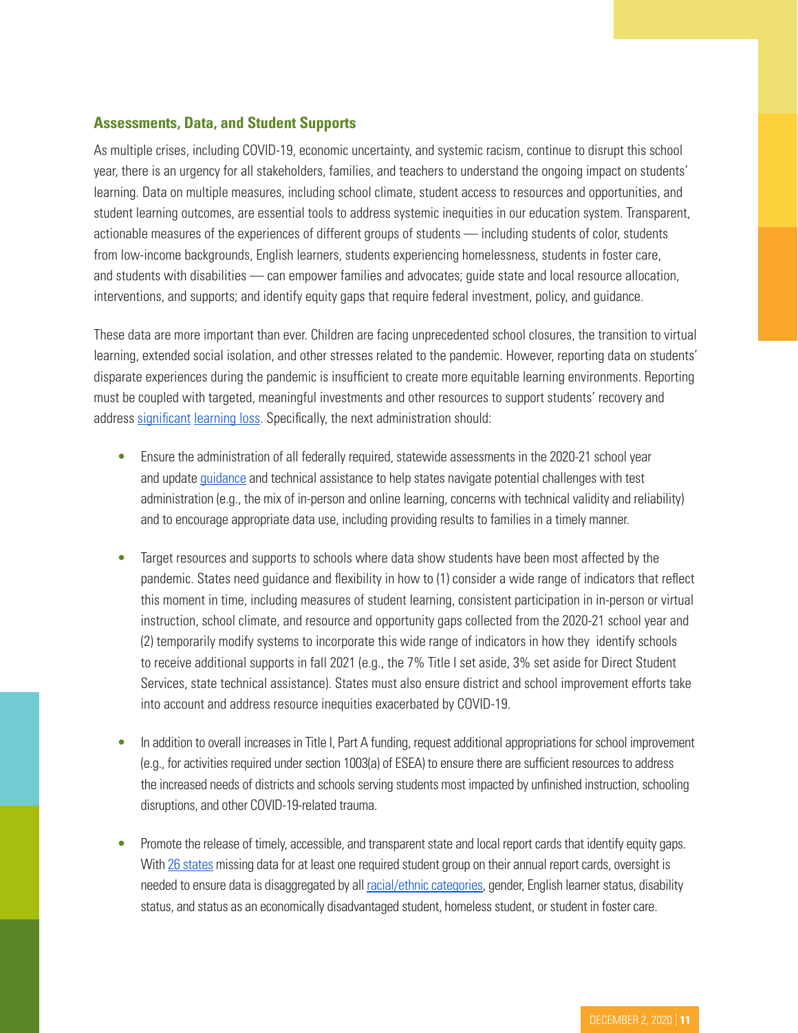### **Assessments, Data, and Student Supports**

As multiple crises, including COVID-19, economic uncertainty, and systemic racism, continue to disrupt this school year, there is an urgency for all stakeholders, families, and teachers to understand the ongoing impact on students' learning. Data on multiple measures, including school climate, student access to resources and opportunities, and student learning outcomes, are essential tools to address systemic inequities in our education system. Transparent, actionable measures of the experiences of different groups of students — including students of color, students from low-income backgrounds, English learners, students experiencing homelessness, students in foster care, and students with disabilities — can empower families and advocates; guide state and local resource allocation, interventions, and supports; and identify equity gaps that require federal investment, policy, and guidance.

These data are more important than ever. Children are facing unprecedented school closures, the transition to virtual learning, extended social isolation, and other stresses related to the pandemic. However, reporting data on students' disparate experiences during the pandemic is insufficient to create more equitable learning environments. Reporting must be coupled with targeted, meaningful investments and other resources to support students' recovery and address [significant](https://www.nwea.org/content/uploads/2020/05/Collaborative-Brief_Covid19-Slide-APR20.pdf) [learning loss](https://www.mckinsey.com/industries/public-and-social-sector/our-insights/covid-19-and-student-learning-in-the-united-states-the-hurt-could-last-a-lifetime). Specifically, the next administration should:

- Ensure the administration of all federally required, statewide assessments in the 2020-21 school year and update [guidance](https://www2.ed.gov/policy/elsec/guid/secletter/200903.html) and technical assistance to help states navigate potential challenges with test administration (e.g., the mix of in-person and online learning, concerns with technical validity and reliability) and to encourage appropriate data use, including providing results to families in a timely manner.
- Target resources and supports to schools where data show students have been most affected by the pandemic. States need guidance and flexibility in how to (1) consider a wide range of indicators that reflect this moment in time, including measures of student learning, consistent participation in in-person or virtual instruction, school climate, and resource and opportunity gaps collected from the 2020-21 school year and (2) temporarily modify systems to incorporate this wide range of indicators in how they identify schools to receive additional supports in fall 2021 (e.g., the 7% Title I set aside, 3% set aside for Direct Student Services, state technical assistance). States must also ensure district and school improvement efforts take into account and address resource inequities exacerbated by COVID-19.
- In addition to overall increases in Title I, Part A funding, request additional appropriations for school improvement (e.g., for activities required under section 1003(a) of ESEA) to ensure there are sufficient resources to address the increased needs of districts and schools serving students most impacted by unfinished instruction, schooling disruptions, and other COVID-19-related trauma.
- Promote the release of timely, accessible, and transparent state and local report cards that identify equity gaps. With [26 states](https://dataqualitycampaign.org/showmethedata-2020/) missing data for at least one required student group on their annual report cards, oversight is needed to ensure data is disaggregated by all [racial/ethnic categories](https://www.census.gov/quickfacts/fact/note/US/RHI625219), gender, English learner status, disability status, and status as an economically disadvantaged student, homeless student, or student in foster care.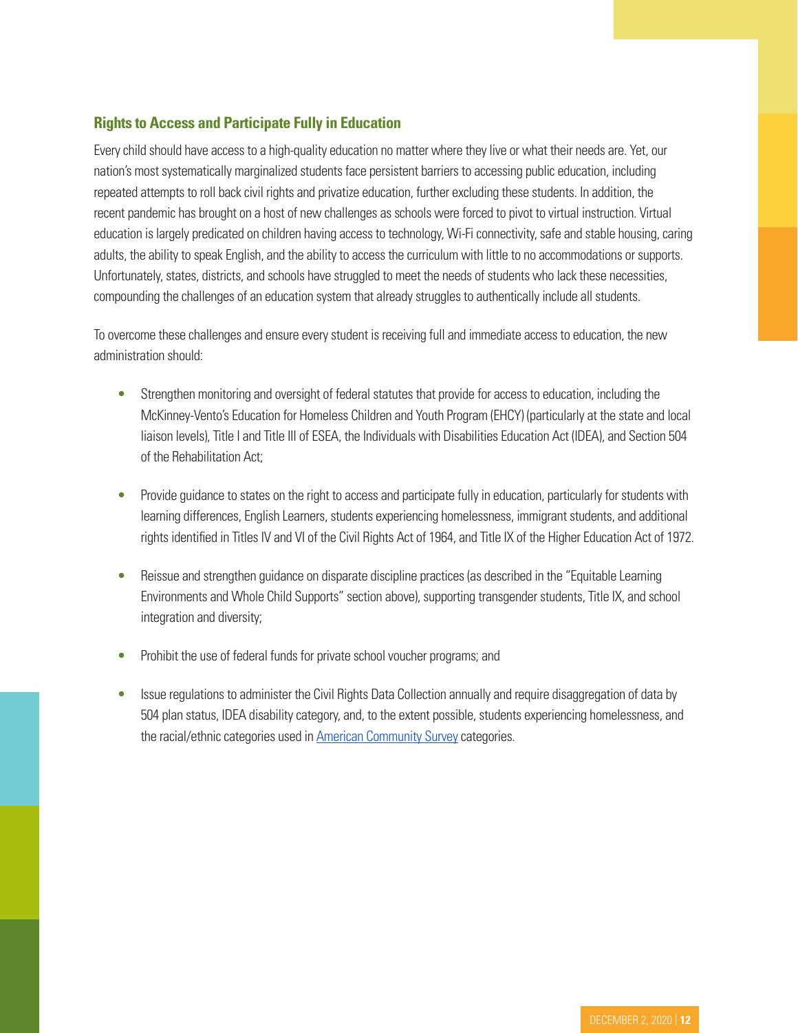# **Rights to Access and Participate Fully in Education**

Every child should have access to a high-quality education no matter where they live or what their needs are. Yet, our nation's most systematically marginalized students face persistent barriers to accessing public education, including repeated attempts to roll back civil rights and privatize education, further excluding these students. In addition, the recent pandemic has brought on a host of new challenges as schools were forced to pivot to virtual instruction. Virtual education is largely predicated on children having access to technology, Wi-Fi connectivity, safe and stable housing, caring adults, the ability to speak English, and the ability to access the curriculum with little to no accommodations or supports. Unfortunately, states, districts, and schools have struggled to meet the needs of students who lack these necessities, compounding the challenges of an education system that already struggles to authentically include all students.

To overcome these challenges and ensure every student is receiving full and immediate access to education, the new administration should:

- Strengthen monitoring and oversight of federal statutes that provide for access to education, including the McKinney-Vento's Education for Homeless Children and Youth Program (EHCY) (particularly at the state and local liaison levels), Title I and Title III of ESEA, the Individuals with Disabilities Education Act (IDEA), and Section 504 of the Rehabilitation Act;
- Provide guidance to states on the right to access and participate fully in education, particularly for students with learning differences, English Learners, students experiencing homelessness, immigrant students, and additional rights identified in Titles IV and VI of the Civil Rights Act of 1964, and Title IX of the Higher Education Act of 1972.
- Reissue and strengthen guidance on disparate discipline practices (as described in the "Equitable Learning") Environments and Whole Child Supports" section above), supporting transgender students, Title IX, and school integration and diversity;
- Prohibit the use of federal funds for private school voucher programs; and
- Issue regulations to administer the Civil Rights Data Collection annually and require disaggregation of data by 504 plan status, IDEA disability category, and, to the extent possible, students experiencing homelessness, and the racial/ethnic categories used in [American Community Survey](https://www.census.gov/programs-surveys/acs) categories.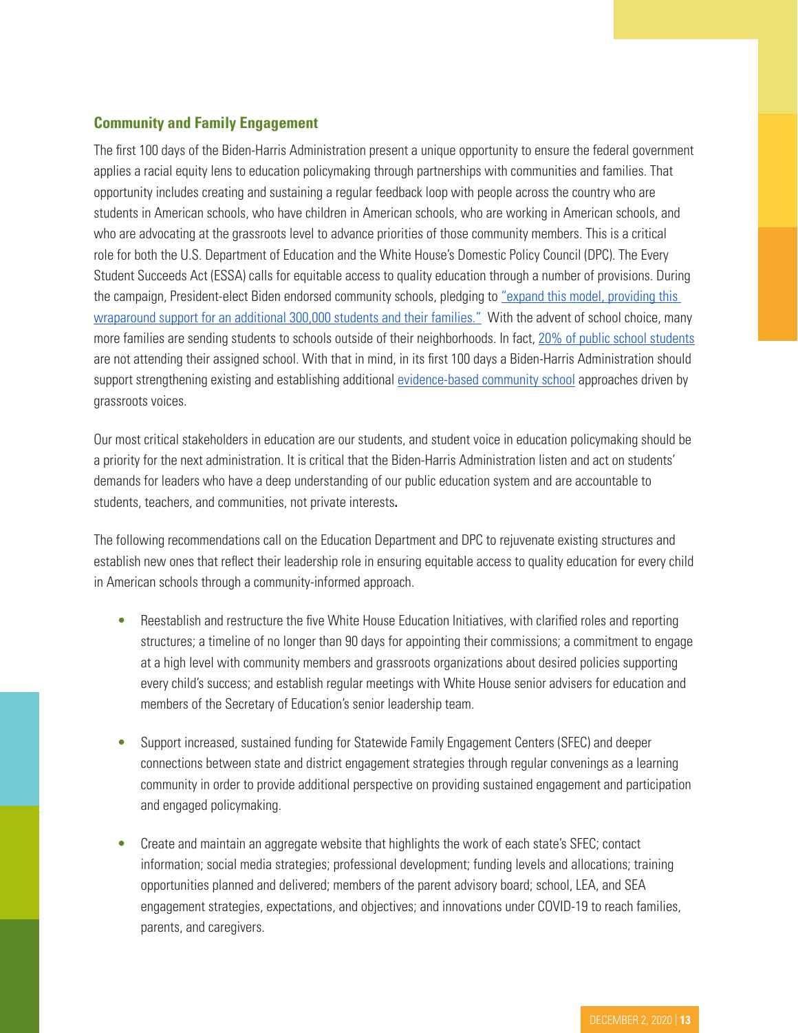# **Community and Family Engagement**

The first 100 days of the Biden-Harris Administration present a unique opportunity to ensure the federal government applies a racial equity lens to education policymaking through partnerships with communities and families. That opportunity includes creating and sustaining a regular feedback loop with people across the country who are students in American schools, who have children in American schools, who are working in American schools, and who are advocating at the grassroots level to advance priorities of those community members. This is a critical role for both the U.S. Department of Education and the White House's Domestic Policy Council (DPC). The Every Student Succeeds Act (ESSA) calls for equitable access to quality education through a number of provisions. During the campaign, President-elect Biden endorsed community schools, pledging to ["expand this model, providing this](https://joebiden.com/education/)  [wraparound support for an additional 300,000 students and their families."](https://joebiden.com/education/) With the advent of school choice, many more families are sending students to schools outside of their neighborhoods. In fact, [20% of public school students](https://nces.ed.gov/fastfacts/display.asp?id=55) are not attending their assigned school. With that in mind, in its first 100 days a Biden-Harris Administration should support strengthening existing and establishing additional [evidence-based community school](https://www.vanhollen.senate.gov/imo/media/doc/community school bill one pager 1026201.pdf) approaches driven by grassroots voices.

Our most critical stakeholders in education are our students, and student voice in education policymaking should be a priority for the next administration. It is critical that the Biden-Harris Administration listen and act on students' demands for leaders who have a deep understanding of our public education system and are accountable to students, teachers, and communities, not private interests**.** 

The following recommendations call on the Education Department and DPC to rejuvenate existing structures and establish new ones that reflect their leadership role in ensuring equitable access to quality education for every child in American schools through a community-informed approach.

- Reestablish and restructure the five White House Education Initiatives, with clarified roles and reporting structures; a timeline of no longer than 90 days for appointing their commissions; a commitment to engage at a high level with community members and grassroots organizations about desired policies supporting every child's success; and establish regular meetings with White House senior advisers for education and members of the Secretary of Education's senior leadership team.
- Support increased, sustained funding for Statewide Family Engagement Centers (SFEC) and deeper connections between state and district engagement strategies through regular convenings as a learning community in order to provide additional perspective on providing sustained engagement and participation and engaged policymaking.
- Create and maintain an aggregate website that highlights the work of each state's SFEC; contact information; social media strategies; professional development; funding levels and allocations; training opportunities planned and delivered; members of the parent advisory board; school, LEA, and SEA engagement strategies, expectations, and objectives; and innovations under COVID-19 to reach families, parents, and caregivers.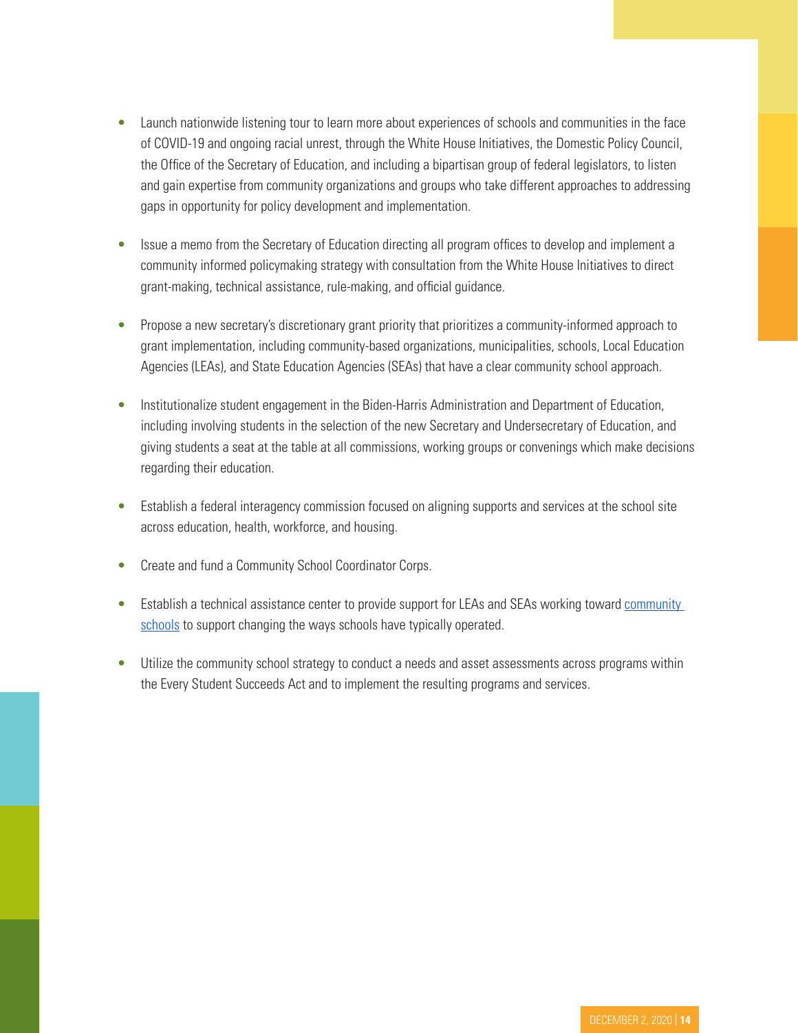- Launch nationwide listening tour to learn more about experiences of schools and communities in the face of COVID-19 and ongoing racial unrest, through the White House Initiatives, the Domestic Policy Council, the Office of the Secretary of Education, and including a bipartisan group of federal legislators, to listen and gain expertise from community organizations and groups who take different approaches to addressing gaps in opportunity for policy development and implementation.
- Issue a memo from the Secretary of Education directing all program offices to develop and implement a community informed policymaking strategy with consultation from the White House Initiatives to direct grant-making, technical assistance, rule-making, and official guidance.
- Propose a new secretary's discretionary grant priority that prioritizes a community-informed approach to grant implementation, including community-based organizations, municipalities, schools, Local Education Agencies (LEAs), and State Education Agencies (SEAs) that have a clear community school approach.
- Institutionalize student engagement in the Biden-Harris Administration and Department of Education, including involving students in the selection of the new Secretary and Undersecretary of Education, and giving students a seat at the table at all commissions, working groups or convenings which make decisions regarding their education.
- Establish a federal interagency commission focused on aligning supports and services at the school site across education, health, workforce, and housing.
- Create and fund a Community School Coordinator Corps.
- Establish a technical assistance center to provide support for LEAs and SEAs working toward community [schools](https://learningpolicyinstitute.org/sites/default/files/product-files/Technical_Assistance_Community_Schools_BRIEF.pdf) to support changing the ways schools have typically operated.
- Utilize the community school strategy to conduct a needs and asset assessments across programs within the Every Student Succeeds Act and to implement the resulting programs and services.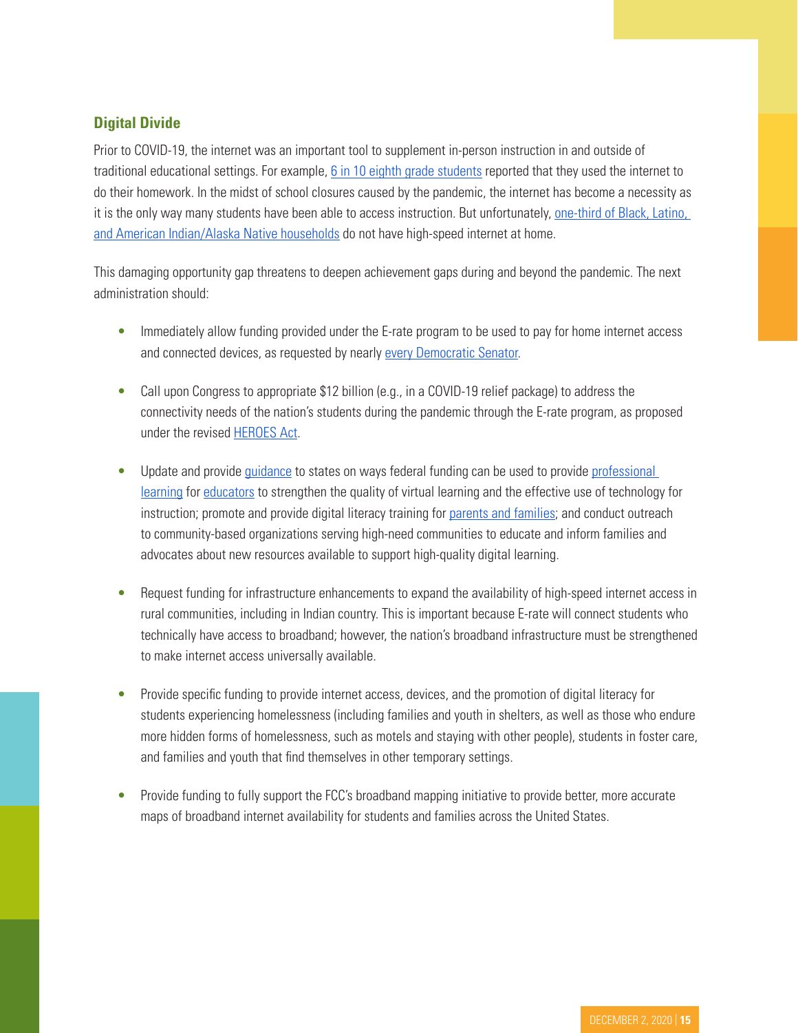# **Digital Divide**

Prior to COVID-19, the internet was an important tool to supplement in-person instruction in and outside of traditional educational settings. For example, [6 in 10 eighth grade students](https://www.pewresearch.org/fact-tank/2020/03/16/as-schools-close-due-to-the-coronavirus-some-u-s-students-face-a-digital-homework-gap/#:~:text=Roughly six%2Din%2Dten students,of Educational Progress (NAEP).) reported that they used the internet to do their homework. In the midst of school closures caused by the pandemic, the internet has become a necessity as it is the only way many students have been able to access instruction. But unfortunately, [one-third of Black, Latino,](https://futureready.org/homework-gap/)  [and American Indian/Alaska Native households](https://futureready.org/homework-gap/) do not have high-speed internet at home.

This damaging opportunity gap threatens to deepen achievement gaps during and beyond the pandemic. The next administration should:

- Immediately allow funding provided under the E-rate program to be used to pay for home internet access and connected devices, as requested by nearly [every Democratic Senator](https://www.markey.senate.gov/imo/media/doc/E-Rate Oversight COVID 2020.pdf).
- Call upon Congress to appropriate \$12 billion (e.g., in a COVID-19 relief package) to address the connectivity needs of the nation's students during the pandemic through the E-rate program, as proposed under the revised [HEROES Act](https://mk0all4edorgjxiy8xf9.kinstacdn.com/wp-content/uploads/2020/10/HEROES-Act-Summary-2.0.pdf).
- Update and provide [guidance](https://www.ed.gov/coronavirus/remote-learning) to states on ways federal funding can be used to provide professional [learning](https://www.google.com/url?q=https://drive.google.com/file/d/1fpj8aCNaCSpl_uAp9CwLBN952wkLYnRT/view&sa=D&ust=1605712155375000&usg=AOvVaw1V6PopnNvjZl_ENDtcgWho) for [educators](https://www.google.com/url?q=https://time.com/5865253/invest-teachers-prevent-exacerbating-racial-educational-divide/&sa=D&ust=1605712155376000&usg=AOvVaw1dEH4jzsrDhhjVQ-J3SUAF) to strengthen the quality of virtual learning and the effective use of technology for instruction; promote and provide digital literacy training for [parents and families](https://tech.ed.gov/publications/digital-learning-guide/parent-family/); and conduct outreach to community-based organizations serving high-need communities to educate and inform families and advocates about new resources available to support high-quality digital learning.
- Request funding for infrastructure enhancements to expand the availability of high-speed internet access in rural communities, including in Indian country. This is important because E-rate will connect students who technically have access to broadband; however, the nation's broadband infrastructure must be strengthened to make internet access universally available.
- Provide specific funding to provide internet access, devices, and the promotion of digital literacy for students experiencing homelessness (including families and youth in shelters, as well as those who endure more hidden forms of homelessness, such as motels and staying with other people), students in foster care, and families and youth that find themselves in other temporary settings.
- Provide funding to fully support the FCC's broadband mapping initiative to provide better, more accurate maps of broadband internet availability for students and families across the United States.